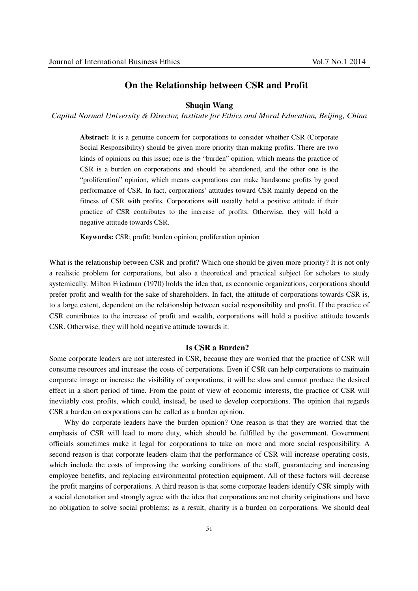# **On the Relationship between CSR and Profit**

# **Shuqin Wang**

*Capital Normal University & Director, Institute for Ethics and Moral Education, Beijing, China* 

**Abstract:** It is a genuine concern for corporations to consider whether CSR (Corporate Social Responsibility) should be given more priority than making profits. There are two kinds of opinions on this issue; one is the "burden" opinion, which means the practice of CSR is a burden on corporations and should be abandoned, and the other one is the "proliferation" opinion, which means corporations can make handsome profits by good performance of CSR. In fact, corporations' attitudes toward CSR mainly depend on the fitness of CSR with profits. Corporations will usually hold a positive attitude if their practice of CSR contributes to the increase of profits. Otherwise, they will hold a negative attitude towards CSR.

**Keywords:** CSR; profit; burden opinion; proliferation opinion

What is the relationship between CSR and profit? Which one should be given more priority? It is not only a realistic problem for corporations, but also a theoretical and practical subject for scholars to study systemically. Milton Friedman (1970) holds the idea that, as economic organizations, corporations should prefer profit and wealth for the sake of shareholders. In fact, the attitude of corporations towards CSR is, to a large extent, dependent on the relationship between social responsibility and profit. If the practice of CSR contributes to the increase of profit and wealth, corporations will hold a positive attitude towards CSR. Otherwise, they will hold negative attitude towards it.

### **Is CSR a Burden?**

Some corporate leaders are not interested in CSR, because they are worried that the practice of CSR will consume resources and increase the costs of corporations. Even if CSR can help corporations to maintain corporate image or increase the visibility of corporations, it will be slow and cannot produce the desired effect in a short period of time. From the point of view of economic interests, the practice of CSR will inevitably cost profits, which could, instead, be used to develop corporations. The opinion that regards CSR a burden on corporations can be called as a burden opinion.

Why do corporate leaders have the burden opinion? One reason is that they are worried that the emphasis of CSR will lead to more duty, which should be fulfilled by the government. Government officials sometimes make it legal for corporations to take on more and more social responsibility. A second reason is that corporate leaders claim that the performance of CSR will increase operating costs, which include the costs of improving the working conditions of the staff, guaranteeing and increasing employee benefits, and replacing environmental protection equipment. All of these factors will decrease the profit margins of corporations. A third reason is that some corporate leaders identify CSR simply with a social denotation and strongly agree with the idea that corporations are not charity originations and have no obligation to solve social problems; as a result, charity is a burden on corporations. We should deal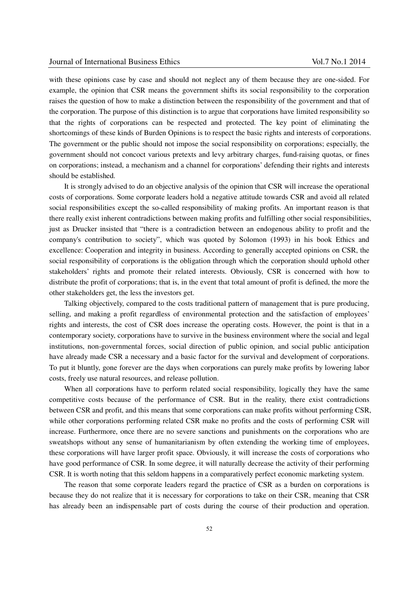with these opinions case by case and should not neglect any of them because they are one-sided. For example, the opinion that CSR means the government shifts its social responsibility to the corporation raises the question of how to make a distinction between the responsibility of the government and that of the corporation. The purpose of this distinction is to argue that corporations have limited responsibility so that the rights of corporations can be respected and protected. The key point of eliminating the shortcomings of these kinds of Burden Opinions is to respect the basic rights and interests of corporations. The government or the public should not impose the social responsibility on corporations; especially, the government should not concoct various pretexts and levy arbitrary charges, fund-raising quotas, or fines on corporations; instead, a mechanism and a channel for corporations' defending their rights and interests should be established.

It is strongly advised to do an objective analysis of the opinion that CSR will increase the operational costs of corporations. Some corporate leaders hold a negative attitude towards CSR and avoid all related social responsibilities except the so-called responsibility of making profits. An important reason is that there really exist inherent contradictions between making profits and fulfilling other social responsibilities, just as Drucker insisted that "there is a contradiction between an endogenous ability to profit and the company's contribution to society", which was quoted by Solomon (1993) in his book Ethics and excellence: Cooperation and integrity in business. According to generally accepted opinions on CSR, the social responsibility of corporations is the obligation through which the corporation should uphold other stakeholders' rights and promote their related interests. Obviously, CSR is concerned with how to distribute the profit of corporations; that is, in the event that total amount of profit is defined, the more the other stakeholders get, the less the investors get.

Talking objectively, compared to the costs traditional pattern of management that is pure producing, selling, and making a profit regardless of environmental protection and the satisfaction of employees' rights and interests, the cost of CSR does increase the operating costs. However, the point is that in a contemporary society, corporations have to survive in the business environment where the social and legal institutions, non-governmental forces, social direction of public opinion, and social public anticipation have already made CSR a necessary and a basic factor for the survival and development of corporations. To put it bluntly, gone forever are the days when corporations can purely make profits by lowering labor costs, freely use natural resources, and release pollution.

When all corporations have to perform related social responsibility, logically they have the same competitive costs because of the performance of CSR. But in the reality, there exist contradictions between CSR and profit, and this means that some corporations can make profits without performing CSR, while other corporations performing related CSR make no profits and the costs of performing CSR will increase. Furthermore, once there are no severe sanctions and punishments on the corporations who are sweatshops without any sense of humanitarianism by often extending the working time of employees, these corporations will have larger profit space. Obviously, it will increase the costs of corporations who have good performance of CSR. In some degree, it will naturally decrease the activity of their performing CSR. It is worth noting that this seldom happens in a comparatively perfect economic marketing system.

The reason that some corporate leaders regard the practice of CSR as a burden on corporations is because they do not realize that it is necessary for corporations to take on their CSR, meaning that CSR has already been an indispensable part of costs during the course of their production and operation.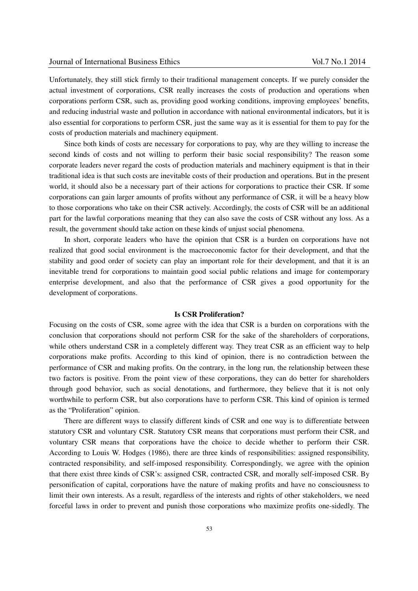Unfortunately, they still stick firmly to their traditional management concepts. If we purely consider the actual investment of corporations, CSR really increases the costs of production and operations when corporations perform CSR, such as, providing good working conditions, improving employees' benefits, and reducing industrial waste and pollution in accordance with national environmental indicators, but it is also essential for corporations to perform CSR, just the same way as it is essential for them to pay for the costs of production materials and machinery equipment.

Since both kinds of costs are necessary for corporations to pay, why are they willing to increase the second kinds of costs and not willing to perform their basic social responsibility? The reason some corporate leaders never regard the costs of production materials and machinery equipment is that in their traditional idea is that such costs are inevitable costs of their production and operations. But in the present world, it should also be a necessary part of their actions for corporations to practice their CSR. If some corporations can gain larger amounts of profits without any performance of CSR, it will be a heavy blow to those corporations who take on their CSR actively. Accordingly, the costs of CSR will be an additional part for the lawful corporations meaning that they can also save the costs of CSR without any loss. As a result, the government should take action on these kinds of unjust social phenomena.

In short, corporate leaders who have the opinion that CSR is a burden on corporations have not realized that good social environment is the macroeconomic factor for their development, and that the stability and good order of society can play an important role for their development, and that it is an inevitable trend for corporations to maintain good social public relations and image for contemporary enterprise development, and also that the performance of CSR gives a good opportunity for the development of corporations.

#### **Is CSR Proliferation?**

Focusing on the costs of CSR, some agree with the idea that CSR is a burden on corporations with the conclusion that corporations should not perform CSR for the sake of the shareholders of corporations, while others understand CSR in a completely different way. They treat CSR as an efficient way to help corporations make profits. According to this kind of opinion, there is no contradiction between the performance of CSR and making profits. On the contrary, in the long run, the relationship between these two factors is positive. From the point view of these corporations, they can do better for shareholders through good behavior, such as social denotations, and furthermore, they believe that it is not only worthwhile to perform CSR, but also corporations have to perform CSR. This kind of opinion is termed as the "Proliferation" opinion.

There are different ways to classify different kinds of CSR and one way is to differentiate between statutory CSR and voluntary CSR. Statutory CSR means that corporations must perform their CSR, and voluntary CSR means that corporations have the choice to decide whether to perform their CSR. According to Louis W. Hodges (1986), there are three kinds of responsibilities: assigned responsibility, contracted responsibility, and self-imposed responsibility. Correspondingly, we agree with the opinion that there exist three kinds of CSR's: assigned CSR, contracted CSR, and morally self-imposed CSR. By personification of capital, corporations have the nature of making profits and have no consciousness to limit their own interests. As a result, regardless of the interests and rights of other stakeholders, we need forceful laws in order to prevent and punish those corporations who maximize profits one-sidedly. The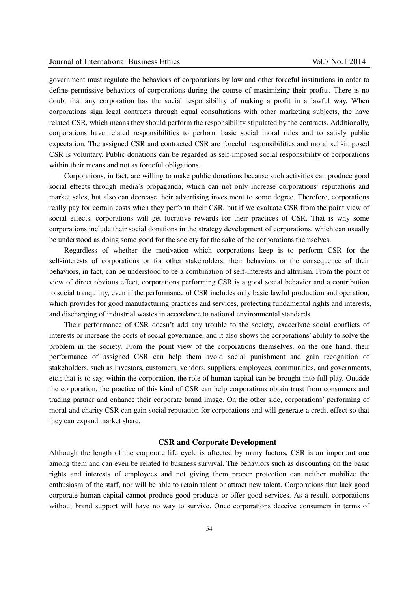government must regulate the behaviors of corporations by law and other forceful institutions in order to define permissive behaviors of corporations during the course of maximizing their profits. There is no doubt that any corporation has the social responsibility of making a profit in a lawful way. When corporations sign legal contracts through equal consultations with other marketing subjects, the have related CSR, which means they should perform the responsibility stipulated by the contracts. Additionally, corporations have related responsibilities to perform basic social moral rules and to satisfy public expectation. The assigned CSR and contracted CSR are forceful responsibilities and moral self-imposed CSR is voluntary. Public donations can be regarded as self-imposed social responsibility of corporations within their means and not as forceful obligations.

Corporations, in fact, are willing to make public donations because such activities can produce good social effects through media's propaganda, which can not only increase corporations' reputations and market sales, but also can decrease their advertising investment to some degree. Therefore, corporations really pay for certain costs when they perform their CSR, but if we evaluate CSR from the point view of social effects, corporations will get lucrative rewards for their practices of CSR. That is why some corporations include their social donations in the strategy development of corporations, which can usually be understood as doing some good for the society for the sake of the corporations themselves.

Regardless of whether the motivation which corporations keep is to perform CSR for the self-interests of corporations or for other stakeholders, their behaviors or the consequence of their behaviors, in fact, can be understood to be a combination of self-interests and altruism. From the point of view of direct obvious effect, corporations performing CSR is a good social behavior and a contribution to social tranquility, even if the performance of CSR includes only basic lawful production and operation, which provides for good manufacturing practices and services, protecting fundamental rights and interests, and discharging of industrial wastes in accordance to national environmental standards.

Their performance of CSR doesn't add any trouble to the society, exacerbate social conflicts of interests or increase the costs of social governance, and it also shows the corporations' ability to solve the problem in the society. From the point view of the corporations themselves, on the one hand, their performance of assigned CSR can help them avoid social punishment and gain recognition of stakeholders, such as investors, customers, vendors, suppliers, employees, communities, and governments, etc.; that is to say, within the corporation, the role of human capital can be brought into full play. Outside the corporation, the practice of this kind of CSR can help corporations obtain trust from consumers and trading partner and enhance their corporate brand image. On the other side, corporations' performing of moral and charity CSR can gain social reputation for corporations and will generate a credit effect so that they can expand market share.

## **CSR and Corporate Development**

Although the length of the corporate life cycle is affected by many factors, CSR is an important one among them and can even be related to business survival. The behaviors such as discounting on the basic rights and interests of employees and not giving them proper protection can neither mobilize the enthusiasm of the staff, nor will be able to retain talent or attract new talent. Corporations that lack good corporate human capital cannot produce good products or offer good services. As a result, corporations without brand support will have no way to survive. Once corporations deceive consumers in terms of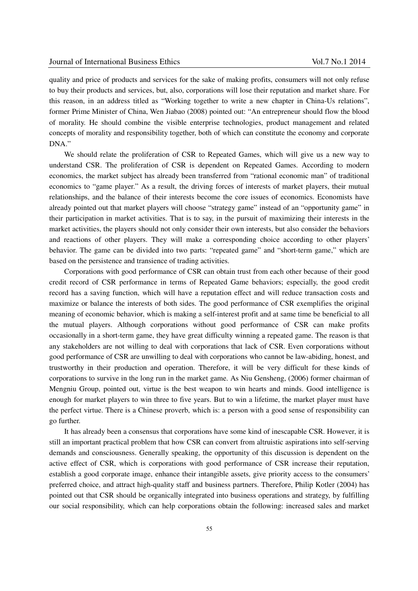quality and price of products and services for the sake of making profits, consumers will not only refuse to buy their products and services, but, also, corporations will lose their reputation and market share. For this reason, in an address titled as "Working together to write a new chapter in China-Us relations", former Prime Minister of China, Wen Jiabao (2008) pointed out: "An entrepreneur should flow the blood of morality. He should combine the visible enterprise technologies, product management and related concepts of morality and responsibility together, both of which can constitute the economy and corporate DNA."

We should relate the proliferation of CSR to Repeated Games, which will give us a new way to understand CSR. The proliferation of CSR is dependent on Repeated Games. According to modern economics, the market subject has already been transferred from "rational economic man" of traditional economics to "game player." As a result, the driving forces of interests of market players, their mutual relationships, and the balance of their interests become the core issues of economics. Economists have already pointed out that market players will choose "strategy game" instead of an "opportunity game" in their participation in market activities. That is to say, in the pursuit of maximizing their interests in the market activities, the players should not only consider their own interests, but also consider the behaviors and reactions of other players. They will make a corresponding choice according to other players' behavior. The game can be divided into two parts: "repeated game" and "short-term game," which are based on the persistence and transience of trading activities.

Corporations with good performance of CSR can obtain trust from each other because of their good credit record of CSR performance in terms of Repeated Game behaviors; especially, the good credit record has a saving function, which will have a reputation effect and will reduce transaction costs and maximize or balance the interests of both sides. The good performance of CSR exemplifies the original meaning of economic behavior, which is making a self-interest profit and at same time be beneficial to all the mutual players. Although corporations without good performance of CSR can make profits occasionally in a short-term game, they have great difficulty winning a repeated game. The reason is that any stakeholders are not willing to deal with corporations that lack of CSR. Even corporations without good performance of CSR are unwilling to deal with corporations who cannot be law-abiding, honest, and trustworthy in their production and operation. Therefore, it will be very difficult for these kinds of corporations to survive in the long run in the market game. As Niu Gensheng, (2006) former chairman of Mengniu Group, pointed out, virtue is the best weapon to win hearts and minds. Good intelligence is enough for market players to win three to five years. But to win a lifetime, the market player must have the perfect virtue. There is a Chinese proverb, which is: a person with a good sense of responsibility can go further.

It has already been a consensus that corporations have some kind of inescapable CSR. However, it is still an important practical problem that how CSR can convert from altruistic aspirations into self-serving demands and consciousness. Generally speaking, the opportunity of this discussion is dependent on the active effect of CSR, which is corporations with good performance of CSR increase their reputation, establish a good corporate image, enhance their intangible assets, give priority access to the consumers' preferred choice, and attract high-quality staff and business partners. Therefore, Philip Kotler (2004) has pointed out that CSR should be organically integrated into business operations and strategy, by fulfilling our social responsibility, which can help corporations obtain the following: increased sales and market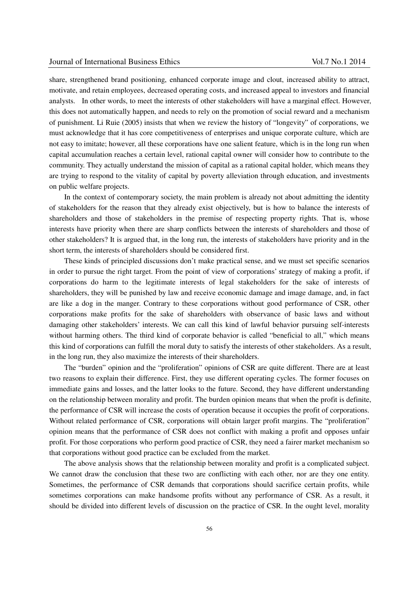share, strengthened brand positioning, enhanced corporate image and clout, increased ability to attract, motivate, and retain employees, decreased operating costs, and increased appeal to investors and financial analysts. In other words, to meet the interests of other stakeholders will have a marginal effect. However, this does not automatically happen, and needs to rely on the promotion of social reward and a mechanism of punishment. Li Ruie (2005) insists that when we review the history of "longevity" of corporations, we must acknowledge that it has core competitiveness of enterprises and unique corporate culture, which are not easy to imitate; however, all these corporations have one salient feature, which is in the long run when capital accumulation reaches a certain level, rational capital owner will consider how to contribute to the community. They actually understand the mission of capital as a rational capital holder, which means they are trying to respond to the vitality of capital by poverty alleviation through education, and investments on public welfare projects.

In the context of contemporary society, the main problem is already not about admitting the identity of stakeholders for the reason that they already exist objectively, but is how to balance the interests of shareholders and those of stakeholders in the premise of respecting property rights. That is, whose interests have priority when there are sharp conflicts between the interests of shareholders and those of other stakeholders? It is argued that, in the long run, the interests of stakeholders have priority and in the short term, the interests of shareholders should be considered first.

These kinds of principled discussions don't make practical sense, and we must set specific scenarios in order to pursue the right target. From the point of view of corporations' strategy of making a profit, if corporations do harm to the legitimate interests of legal stakeholders for the sake of interests of shareholders, they will be punished by law and receive economic damage and image damage, and, in fact are like a dog in the manger. Contrary to these corporations without good performance of CSR, other corporations make profits for the sake of shareholders with observance of basic laws and without damaging other stakeholders' interests. We can call this kind of lawful behavior pursuing self-interests without harming others. The third kind of corporate behavior is called "beneficial to all," which means this kind of corporations can fulfill the moral duty to satisfy the interests of other stakeholders. As a result, in the long run, they also maximize the interests of their shareholders.

The "burden" opinion and the "proliferation" opinions of CSR are quite different. There are at least two reasons to explain their difference. First, they use different operating cycles. The former focuses on immediate gains and losses, and the latter looks to the future. Second, they have different understanding on the relationship between morality and profit. The burden opinion means that when the profit is definite, the performance of CSR will increase the costs of operation because it occupies the profit of corporations. Without related performance of CSR, corporations will obtain larger profit margins. The "proliferation" opinion means that the performance of CSR does not conflict with making a profit and opposes unfair profit. For those corporations who perform good practice of CSR, they need a fairer market mechanism so that corporations without good practice can be excluded from the market.

The above analysis shows that the relationship between morality and profit is a complicated subject. We cannot draw the conclusion that these two are conflicting with each other, nor are they one entity. Sometimes, the performance of CSR demands that corporations should sacrifice certain profits, while sometimes corporations can make handsome profits without any performance of CSR. As a result, it should be divided into different levels of discussion on the practice of CSR. In the ought level, morality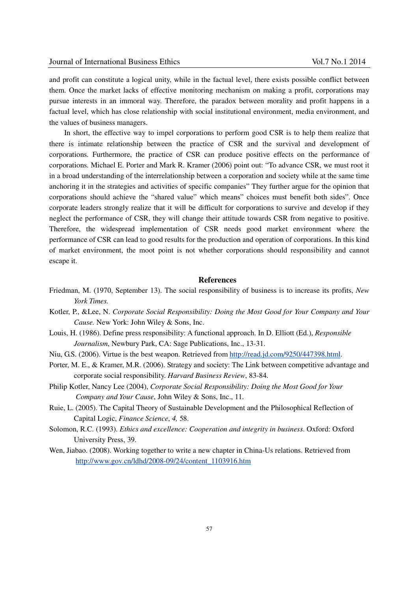and profit can constitute a logical unity, while in the factual level, there exists possible conflict between them. Once the market lacks of effective monitoring mechanism on making a profit, corporations may pursue interests in an immoral way. Therefore, the paradox between morality and profit happens in a factual level, which has close relationship with social institutional environment, media environment, and the values of business managers.

In short, the effective way to impel corporations to perform good CSR is to help them realize that there is intimate relationship between the practice of CSR and the survival and development of corporations. Furthermore, the practice of CSR can produce positive effects on the performance of corporations. Michael E. Porter and Mark R. Kramer (2006) point out: "To advance CSR, we must root it in a broad understanding of the interrelationship between a corporation and society while at the same time anchoring it in the strategies and activities of specific companies" They further argue for the opinion that corporations should achieve the "shared value" which means" choices must benefit both sides". Once corporate leaders strongly realize that it will be difficult for corporations to survive and develop if they neglect the performance of CSR, they will change their attitude towards CSR from negative to positive. Therefore, the widespread implementation of CSR needs good market environment where the performance of CSR can lead to good results for the production and operation of corporations. In this kind of market environment, the moot point is not whether corporations should responsibility and cannot escape it.

## **References**

- Friedman, M. (1970, September 13). The social responsibility of business is to increase its profits, *New York Times.*
- Kotler, P., &Lee, N. *Corporate Social Responsibility: Doing the Most Good for Your Company and Your Cause.* New York: John Wiley & Sons, Inc.
- Louis, H. (1986). Define press responsibility: A functional approach. In D. Elliott (Ed.), *Responsible Journalism*, Newbury Park, CA: Sage Publications, Inc., 13-31.
- Niu, G.S. (2006). Virtue is the best weapon. Retrieved from http://read.jd.com/9250/447398.html.
- Porter, M. E., & Kramer, M.R. (2006). Strategy and society: The Link between competitive advantage and corporate social responsibility. *Harvard Business Review*, 83-84.
- Philip Kotler, Nancy Lee (2004), *Corporate Social Responsibility: Doing the Most Good for Your Company and Your Cause*, John Wiley & Sons, Inc., 11.
- Ruie, L. (2005). The Capital Theory of Sustainable Development and the Philosophical Reflection of Capital Logic, *Finance Science*, *4,* 58.
- Solomon, R.C. (1993). *Ethics and excellence: Cooperation and integrity in business*. Oxford: Oxford University Press, 39.
- Wen, Jiabao. (2008). Working together to write a new chapter in China-Us relations. Retrieved from http://www.gov.cn/ldhd/2008-09/24/content\_1103916.htm